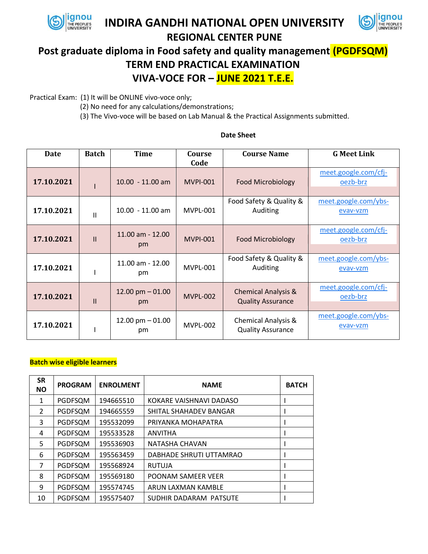

## **INDIRA GANDHI NATIONAL OPEN UNIVERSITY**



# **REGIONAL CENTER PUNE Post graduate diploma in Food safety and quality management (PGDFSQM) TERM END PRACTICAL EXAMINATION VIVA-VOCE FOR – JUNE 2021 T.E.E.**

Practical Exam: (1) It will be ONLINE vivo-voce only;

- (2) No need for any calculations/demonstrations;
- (3) The Vivo-voce will be based on Lab Manual & the Practical Assignments submitted.

#### **Date Batch Time Course Code Course Name G Meet Link**  $17.10.2021$ 10.00 - 11.00 am  $\parallel$  MVPI-001  $\parallel$  Food Microbiology [meet.google.com/cfj](https://meet.google.com/cfj-oezb-brz?hs=122&authuser=5)[oezb-brz](https://meet.google.com/cfj-oezb-brz?hs=122&authuser=5) **17.10.2021**  $\begin{array}{|c|c|c|c|} \hline \end{array}$  10.00 - 11.00 am  $\begin{array}{|c|c|c|c|c|} \hline \end{array}$  MVPL-001 Food Safety & Quality & Auditing [meet.google.com/ybs](https://meet.google.com/ybs-evav-vzm?hs=122&authuser=5)[evav-vzm](https://meet.google.com/ybs-evav-vzm?hs=122&authuser=5) **17.10.2021** II 11.00 am - 12.00 pm MVPI-001 Food Microbiology [meet.google.com/cfj](https://meet.google.com/cfj-oezb-brz?hs=122&authuser=5)[oezb-brz](https://meet.google.com/cfj-oezb-brz?hs=122&authuser=5)  $17.10.2021$ 11.00 am - 12.00 pm MVPL-001 Food Safety & Quality & Auditing [meet.google.com/ybs](https://meet.google.com/ybs-evav-vzm?hs=122&authuser=5)[evav-vzm](https://meet.google.com/ybs-evav-vzm?hs=122&authuser=5) **17.10.2021**  $\vert$   $\vert$ 12.00 pm – 01.00 pm MVPL-002 Chemical Analysis & Quality Assurance [meet.google.com/cfj](https://meet.google.com/cfj-oezb-brz?hs=122&authuser=5)[oezb-brz](https://meet.google.com/cfj-oezb-brz?hs=122&authuser=5) **17.10.2021** | 12.00 pm – 01.00 MVPL-002 | Chemical Analysis & [meet.google.com/ybs](https://meet.google.com/ybs-evav-vzm?hs=122&authuser=5)[evav-vzm](https://meet.google.com/ybs-evav-vzm?hs=122&authuser=5)

## **Date Sheet**

Quality Assurance

### **Batch wise eligible learners**

| <b>SR</b><br><b>NO</b> | <b>PROGRAM</b> | <b>ENROLMENT</b> | <b>NAME</b>             | <b>BATCH</b> |
|------------------------|----------------|------------------|-------------------------|--------------|
| 1                      | PGDFSQM        | 194665510        | KOKARE VAISHNAVI DADASO |              |
| 2                      | PGDFSQM        | 194665559        | SHITAL SHAHADEV BANGAR  |              |
| 3                      | PGDFSQM        | 195532099        | PRIYANKA MOHAPATRA      |              |
| 4                      | PGDFSQM        | 195533528        | <b>ANVITHA</b>          |              |
| 5                      | PGDFSQM        | 195536903        | NATASHA CHAVAN          |              |
| 6                      | PGDFSQM        | 195563459        | DABHADE SHRUTI UTTAMRAO |              |
| 7                      | PGDFSQM        | 195568924        | RUTUJA                  |              |
| 8                      | PGDFSQM        | 195569180        | POONAM SAMEER VEER      |              |
| 9                      | PGDFSQM        | 195574745        | ARUN LAXMAN KAMBLE      |              |
| 10                     | PGDFSQM        | 195575407        | SUDHIR DADARAM PATSUTE  |              |

pm